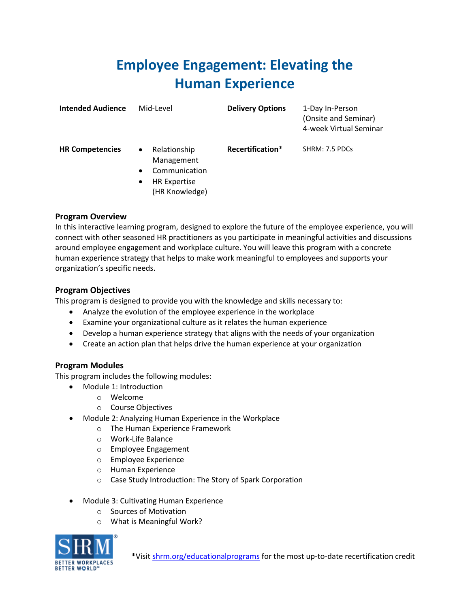## **Employee Engagement: Elevating the Human Experience**

| <b>Intended Audience</b> | Mid-Level                                                                                                                   | <b>Delivery Options</b> | 1-Day In-Person<br>(Onsite and Seminar)<br>4-week Virtual Seminar |
|--------------------------|-----------------------------------------------------------------------------------------------------------------------------|-------------------------|-------------------------------------------------------------------|
| <b>HR Competencies</b>   | Relationship<br>$\bullet$<br>Management<br>Communication<br>$\bullet$<br><b>HR Expertise</b><br>$\bullet$<br>(HR Knowledge) | Recertification*        | SHRM: 7.5 PDCs                                                    |

## **Program Overview**

In this interactive learning program, designed to explore the future of the employee experience, you will connect with other seasoned HR practitioners as you participate in meaningful activities and discussions around employee engagement and workplace culture. You will leave this program with a concrete human experience strategy that helps to make work meaningful to employees and supports your organization's specific needs.

## **Program Objectives**

This program is designed to provide you with the knowledge and skills necessary to:

- Analyze the evolution of the employee experience in the workplace
- Examine your organizational culture as it relates the human experience
- Develop a human experience strategy that aligns with the needs of your organization
- Create an action plan that helps drive the human experience at your organization

## **Program Modules**

This program includes the following modules:

- Module 1: Introduction
	- o Welcome
	- o Course Objectives
- Module 2: Analyzing Human Experience in the Workplace
	- o The Human Experience Framework
	- o Work-Life Balance
	- o Employee Engagement
	- o Employee Experience
	- o Human Experience
	- o Case Study Introduction: The Story of Spark Corporation
- Module 3: Cultivating Human Experience
	- o Sources of Motivation
	- o What is Meaningful Work?